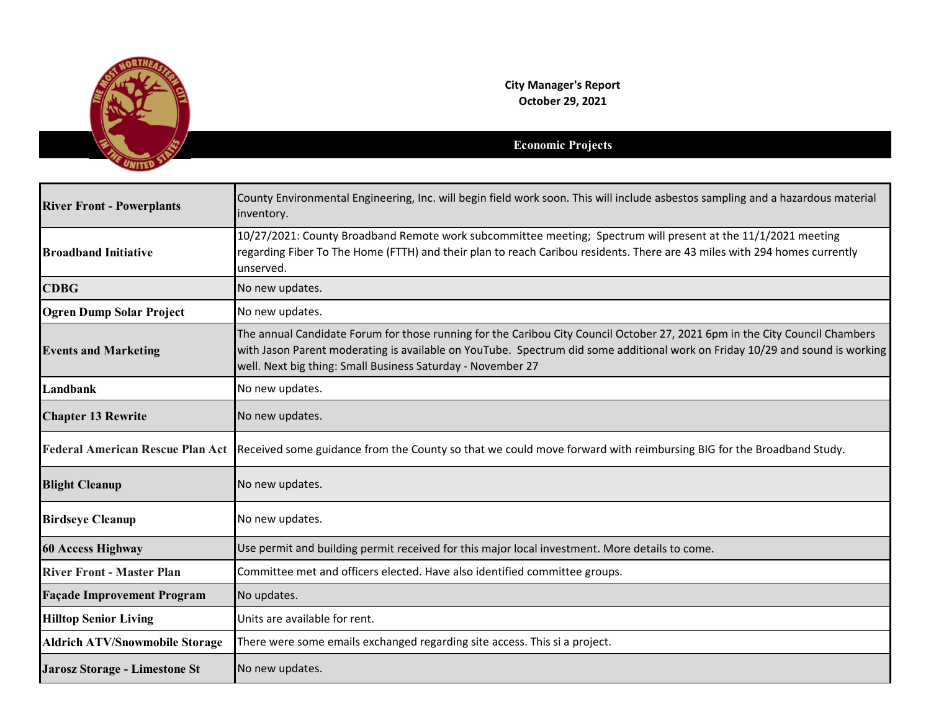

**City Manager's Report October 29, 2021**

## **Economic Projects**

| <b>River Front - Powerplants</b>      | County Environmental Engineering, Inc. will begin field work soon. This will include asbestos sampling and a hazardous material<br>inventory.                                                                                                                                                                              |
|---------------------------------------|----------------------------------------------------------------------------------------------------------------------------------------------------------------------------------------------------------------------------------------------------------------------------------------------------------------------------|
| <b>Broadband Initiative</b>           | 10/27/2021: County Broadband Remote work subcommittee meeting; Spectrum will present at the 11/1/2021 meeting<br>regarding Fiber To The Home (FTTH) and their plan to reach Caribou residents. There are 43 miles with 294 homes currently<br>unserved.                                                                    |
| <b>CDBG</b>                           | No new updates.                                                                                                                                                                                                                                                                                                            |
| <b>Ogren Dump Solar Project</b>       | No new updates.                                                                                                                                                                                                                                                                                                            |
| <b>Events and Marketing</b>           | The annual Candidate Forum for those running for the Caribou City Council October 27, 2021 6pm in the City Council Chambers<br>with Jason Parent moderating is available on YouTube. Spectrum did some additional work on Friday 10/29 and sound is working<br>well. Next big thing: Small Business Saturday - November 27 |
| Landbank                              | No new updates.                                                                                                                                                                                                                                                                                                            |
| <b>Chapter 13 Rewrite</b>             | No new updates.                                                                                                                                                                                                                                                                                                            |
|                                       | Federal American Rescue Plan Act Received some guidance from the County so that we could move forward with reimbursing BIG for the Broadband Study.                                                                                                                                                                        |
| <b>Blight Cleanup</b>                 | No new updates.                                                                                                                                                                                                                                                                                                            |
| <b>Birdseye Cleanup</b>               | No new updates.                                                                                                                                                                                                                                                                                                            |
| <b>60 Access Highway</b>              | Use permit and building permit received for this major local investment. More details to come.                                                                                                                                                                                                                             |
| <b>River Front - Master Plan</b>      | Committee met and officers elected. Have also identified committee groups.                                                                                                                                                                                                                                                 |
| <b>Façade Improvement Program</b>     | No updates.                                                                                                                                                                                                                                                                                                                |
| <b>Hilltop Senior Living</b>          | Units are available for rent.                                                                                                                                                                                                                                                                                              |
| <b>Aldrich ATV/Snowmobile Storage</b> | There were some emails exchanged regarding site access. This si a project.                                                                                                                                                                                                                                                 |
| Jarosz Storage - Limestone St         | No new updates.                                                                                                                                                                                                                                                                                                            |